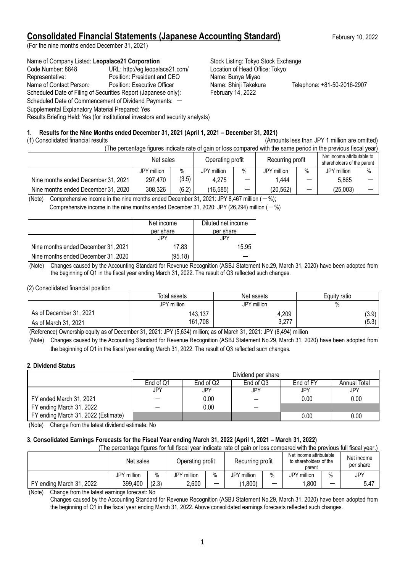## **Consolidated Financial Statements (Japanese Accounting Standard)** February 10, 2022

(For the nine months ended December 31, 2021)

### Name of Company Listed: Leopalace21 Corporation **Stock Listing: Tokyo Stock Exchange**

Code Number: 8848 URL: http://eg.leopalace21.com/ Location of Head Office: Tokyo Representative: Position: President and CEO Name: Bunya Miyao Name of Contact Person: Position: Executive Officer Name: Shinji Takekura Telephone: +81-50-2016-2907 Scheduled Date of Filing of Securities Report (Japanese only): February 14, 2022 Scheduled Date of Commencement of Dividend Payments: -Supplemental Explanatory Material Prepared: Yes Results Briefing Held: Yes (for institutional investors and security analysts)

## **1. Results for the Nine Months ended December 31, 2021 (April 1, 2021 – December 31, 2021)**

#### (1) Consolidated financial results (Amounts less than JPY 1 million are omitted)

(The percentage figures indicate rate of gain or loss compared with the same period in the previous fiscal year)

|                                     | Net sales   |       | Operating profit |      | Recurring profit |   | Net income attributable to<br>shareholders of the parent |      |
|-------------------------------------|-------------|-------|------------------|------|------------------|---|----------------------------------------------------------|------|
|                                     | JPY million | $\%$  | JPY million      | $\%$ | JPY million      | % | JPY million                                              | $\%$ |
| Nine months ended December 31, 2021 | 297,470     | (3.5) | 4,275            |      | 444. ا           | – | 5,865                                                    |      |
| Nine months ended December 31, 2020 | 308,326     | (6.2) | (16, 585)        |      | (20, 562)        | – | (25,003)                                                 |      |

(Note) Comprehensive income in the nine months ended December 31, 2021: JPY 8,467 million  $(-\%)$ ;

Comprehensive income in the nine months ended December 31, 2020: JPY (26,294) million ( $-\%$ )

|                                     | Net income<br>per share | Diluted net income<br>per share |
|-------------------------------------|-------------------------|---------------------------------|
|                                     | JPY                     | JPY                             |
| Nine months ended December 31, 2021 | 17.83                   | 15.95                           |
| Nine months ended December 31, 2020 | (95.18)                 |                                 |

(Note) Changes caused by the Accounting Standard for Revenue Recognition (ASBJ Statement No.29, March 31, 2020) have been adopted from the beginning of Q1 in the fiscal year ending March 31, 2022. The result of Q3 reflected such changes.

### (2) Consolidated financial position

|                         | Total assets | Net assets  | Equity ratio |
|-------------------------|--------------|-------------|--------------|
|                         | JPY million  | JPY million | %            |
| As of December 31, 2021 | 143.137      | 4,209       | (3.9)        |
| As of March 31, 2021    | 161,708      | 3,277       | (5.3)        |

(Reference) Ownership equity as of December 31, 2021: JPY (5,634) million; as of March 31, 2021: JPY (8,494) million

(Note) Changes caused by the Accounting Standard for Revenue Recognition (ASBJ Statement No.29, March 31, 2020) have been adopted from the beginning of Q1 in the fiscal year ending March 31, 2022. The result of Q3 reflected such changes.

#### **2. Dividend Status**

|                                     | Dividend per share |                                                            |     |          |      |  |  |  |
|-------------------------------------|--------------------|------------------------------------------------------------|-----|----------|------|--|--|--|
|                                     | End of Q1          | End of FY<br>End of Q2<br>End of Q3<br><b>Annual Total</b> |     |          |      |  |  |  |
|                                     | <b>JPY</b>         | JPY                                                        | JPY | JPY      | JPY  |  |  |  |
| FY ended March 31, 2021             |                    | 0.00                                                       |     | $0.00\,$ | 0.00 |  |  |  |
| FY ending March 31, 2022            |                    | 0.00                                                       | -   |          |      |  |  |  |
| FY ending March 31, 2022 (Estimate) |                    |                                                            |     | 0.00     | 0.00 |  |  |  |

(Note) Change from the latest dividend estimate: No

## **3. Consolidated Earnings Forecasts for the Fiscal Year ending March 31, 2022 (April 1, 2021 – March 31, 2022)**

(The percentage figures for full fiscal year indicate rate of gain or loss compared with the previous full fiscal year.)

|                                                    | Net sales               |       | Operating profit |                          | Recurring profit |   | Net income attributable<br>to shareholders of the<br>parent |      | Net income<br>per share |
|----------------------------------------------------|-------------------------|-------|------------------|--------------------------|------------------|---|-------------------------------------------------------------|------|-------------------------|
|                                                    | ' million<br>JPY.       | $\%$  | JPY million      | $\%$                     | million<br>JPY   | % | JPY million                                                 | $\%$ | JPY                     |
| FY ending March 31, 2022                           | 399,400                 | (2.3) | 2,600            | $\overline{\phantom{0}}$ | .800)            | - | ,800                                                        |      | 5.47                    |
| $\mathbf{A}$<br>Alexander Corp. Here International | and and four controller |       |                  |                          |                  |   |                                                             |      |                         |

(Note) Change from the latest earnings forecast: No

Changes caused by the Accounting Standard for Revenue Recognition (ASBJ Statement No.29, March 31, 2020) have been adopted from the beginning of Q1 in the fiscal year ending March 31, 2022. Above consolidated earnings forecasts reflected such changes.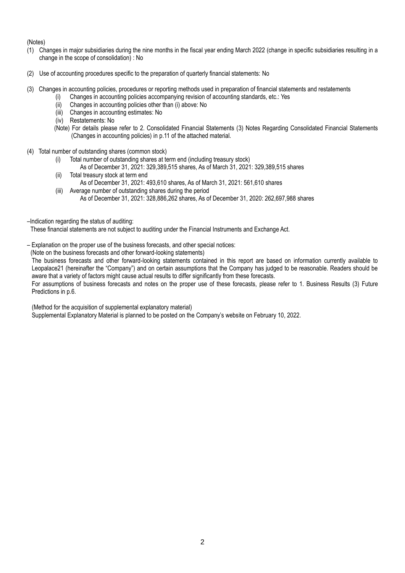(Notes)

- (1) Changes in major subsidiaries during the nine months in the fiscal year ending March 2022 (change in specific subsidiaries resulting in a change in the scope of consolidation) : No
- (2) Use of accounting procedures specific to the preparation of quarterly financial statements: No
- (3) Changes in accounting policies, procedures or reporting methods used in preparation of financial statements and restatements
	- (i) Changes in accounting policies accompanying revision of accounting standards, etc.: Yes
	- (ii) Changes in accounting policies other than (i) above: No
	- (iii) Changes in accounting estimates: No
	- (iv) Restatements: No
	- (Note) For details please refer to 2. Consolidated Financial Statements (3) Notes Regarding Consolidated Financial Statements (Changes in accounting policies) in p.11 of the attached material.
- (4) Total number of outstanding shares (common stock)
	- (i) Total number of outstanding shares at term end (including treasury stock)
		- As of December 31, 2021: 329,389,515 shares, As of March 31, 2021: 329,389,515 shares
	- (ii) Total treasury stock at term end As of December 31, 2021: 493,610 shares, As of March 31, 2021: 561,610 shares
	- (iii) Average number of outstanding shares during the period As of December 31, 2021: 328,886,262 shares, As of December 31, 2020: 262,697,988 shares
- –Indication regarding the status of auditing:

These financial statements are not subject to auditing under the Financial Instruments and Exchange Act.

- Explanation on the proper use of the business forecasts, and other special notices:
- (Note on the business forecasts and other forward-looking statements)

The business forecasts and other forward-looking statements contained in this report are based on information currently available to Leopalace21 (hereinafter the "Company") and on certain assumptions that the Company has judged to be reasonable. Readers should be aware that a variety of factors might cause actual results to differ significantly from these forecasts.

For assumptions of business forecasts and notes on the proper use of these forecasts, please refer to 1. Business Results (3) Future Predictions in p.6.

(Method for the acquisition of supplemental explanatory material)

Supplemental Explanatory Material is planned to be posted on the Company's website on February 10, 2022.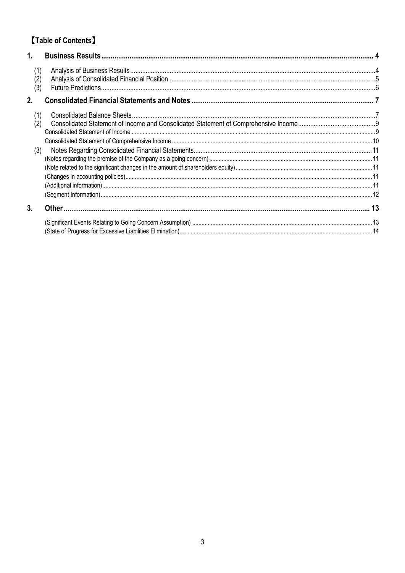# **[Table of Contents]**

| 1.                |  |
|-------------------|--|
| (1)<br>(2)<br>(3) |  |
| 2.                |  |
| (1)               |  |
| (2)               |  |
|                   |  |
| (3)               |  |
|                   |  |
|                   |  |
|                   |  |
|                   |  |
| 3.                |  |
|                   |  |
|                   |  |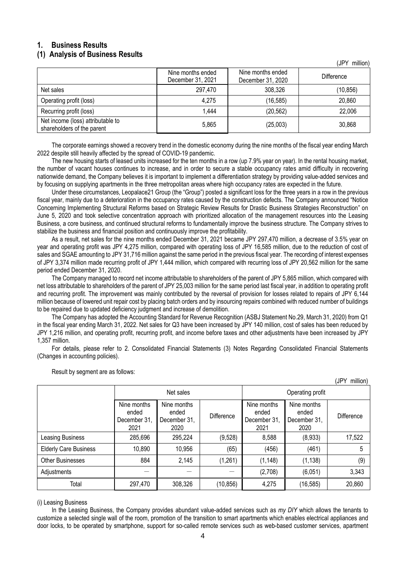## <span id="page-3-0"></span>**1. Business Results**

## <span id="page-3-1"></span>**(1) Analysis of Business Results**

|                                                                 | Nine months ended<br>December 31, 2021 | Nine months ended<br>December 31, 2020 | Difference |
|-----------------------------------------------------------------|----------------------------------------|----------------------------------------|------------|
| Net sales                                                       | 297,470                                | 308,326                                | (10, 856)  |
| Operating profit (loss)                                         | 4,275                                  | (16, 585)                              | 20,860     |
| Recurring profit (loss)                                         | 1.444                                  | (20, 562)                              | 22,006     |
| Net income (loss) attributable to<br>shareholders of the parent | 5,865                                  | (25,003)                               | 30,868     |

The corporate earnings showed a recovery trend in the domestic economy during the nine months of the fiscal year ending March 2022 despite still heavily affected by the spread of COVID-19 pandemic.

The new housing starts of leased units increased for the ten months in a row (up 7.9% year on year). In the rental housing market, the number of vacant houses continues to increase, and in order to secure a stable occupancy rates amid difficulty in recovering nationwide demand, the Company believes it is important to implement a differentiation strategy by providing value-added services and by focusing on supplying apartments in the three metropolitan areas where high occupancy rates are expected in the future.

Under these circumstances, Leopalace21 Group (the "Group") posted a significant loss for the three years in a row in the previous fiscal year, mainly due to a deterioration in the occupancy rates caused by the construction defects. The Company announced "Notice Concerning Implementing Structural Reforms based on Strategic Review Results for Drastic Business Strategies Reconstruction" on June 5, 2020 and took selective concentration approach with prioritized allocation of the management resources into the Leasing Business, a core business, and continued structural reforms to fundamentally improve the business structure. The Company strives to stabilize the business and financial position and continuously improve the profitability.

As a result, net sales for the nine months ended December 31, 2021 became JPY 297,470 million, a decrease of 3.5% year on year and operating profit was JPY 4,275 million, compared with operating loss of JPY 16,585 million, due to the reduction of cost of sales and SGAE amounting to JPY 31,716 million against the same period in the previous fiscal year. The recording of interest expenses of JPY 3,374 million made recurring profit of JPY 1,444 million, which compared with recurring loss of JPY 20,562 million for the same period ended December 31, 2020.

The Company managed to record net income attributable to shareholders of the parent of JPY 5,865 million, which compared with net loss attributable to shareholders of the parent of JPY 25,003 million for the same period last fiscal year, in addition to operating profit and recurring profit. The improvement was mainly contributed by the reversal of provision for losses related to repairs of JPY 6,144 million because of lowered unit repair cost by placing batch orders and by insourcing repairs combined with reduced number of buildings to be repaired due to updated deficiency judgment and increase of demolition.

The Company has adopted the Accounting Standard for Revenue Recognition (ASBJ Statement No.29, March 31, 2020) from Q1 in the fiscal year ending March 31, 2022. Net sales for Q3 have been increased by JPY 140 million, cost of sales has been reduced by JPY 1,216 million, and operating profit, recurring profit, and income before taxes and other adjustments have been increased by JPY 1,357 million.

For details, please refer to 2. Consolidated Financial Statements (3) Notes Regarding Consolidated Financial Statements (Changes in accounting policies).

|                              |                                              |                                              |            |                                              |                                              | <b>JPY</b><br>million) |  |
|------------------------------|----------------------------------------------|----------------------------------------------|------------|----------------------------------------------|----------------------------------------------|------------------------|--|
|                              | Net sales                                    |                                              |            | Operating profit                             |                                              |                        |  |
|                              | Nine months<br>ended<br>December 31,<br>2021 | Nine months<br>ended<br>December 31,<br>2020 | Difference | Nine months<br>ended<br>December 31,<br>2021 | Nine months<br>ended<br>December 31,<br>2020 | Difference             |  |
| Leasing Business             | 285,696                                      | 295,224                                      | (9,528)    | 8,588                                        | (8,933)                                      | 17,522                 |  |
| <b>Elderly Care Business</b> | 10,890                                       | 10,956                                       | (65)       | (456)                                        | (461)                                        | 5                      |  |
| <b>Other Businesses</b>      | 884                                          | 2,145                                        | (1,261)    | (1, 148)                                     | (1, 138)                                     | (9)                    |  |
| Adjustments                  |                                              |                                              |            | (2,708)                                      | (6,051)                                      | 3,343                  |  |
| Total                        | 297,470                                      | 308,326                                      | (10, 856)  | 4,275                                        | (16, 585)                                    | 20,860                 |  |

Result by segment are as follows:

#### (i) Leasing Business

In the Leasing Business, the Company provides abundant value-added services such as *my DIY* which allows the tenants to customize a selected single wall of the room, promotion of the transition to smart apartments which enables electrical appliances and door locks, to be operated by smartphone, support for so-called remote services such as web-based customer services, apartment

(JPY million)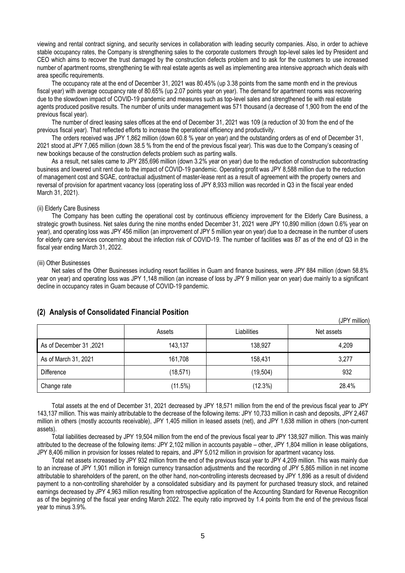viewing and rental contract signing, and security services in collaboration with leading security companies. Also, in order to achieve stable occupancy rates, the Company is strengthening sales to the corporate customers through top-level sales led by President and CEO which aims to recover the trust damaged by the construction defects problem and to ask for the customers to use increased number of apartment rooms, strengthening tie with real estate agents as well as implementing area intensive approach which deals with area specific requirements.

The occupancy rate at the end of December 31, 2021 was 80.45% (up 3.38 points from the same month end in the previous fiscal year) with average occupancy rate of 80.65% (up 2.07 points year on year). The demand for apartment rooms was recovering due to the slowdown impact of COVID-19 pandemic and measures such as top-level sales and strengthened tie with real estate agents produced positive results. The number of units under management was 571 thousand (a decrease of 1,900 from the end of the previous fiscal year).

The number of direct leasing sales offices at the end of December 31, 2021 was 109 (a reduction of 30 from the end of the previous fiscal year). That reflected efforts to increase the operational efficiency and productivity.

The orders received was JPY 1,862 million (down 60.8 % year on year) and the outstanding orders as of end of December 31, 2021 stood at JPY 7,065 million (down 38.5 % from the end of the previous fiscal year). This was due to the Company's ceasing of new bookings because of the construction defects problem such as parting walls.

As a result, net sales came to JPY 285,696 million (down 3.2% year on year) due to the reduction of construction subcontracting business and lowered unit rent due to the impact of COVID-19 pandemic. Operating profit was JPY 8,588 million due to the reduction of management cost and SGAE, contractual adjustment of master-lease rent as a result of agreement with the property owners and reversal of provision for apartment vacancy loss (operating loss of JPY 8,933 million was recorded in Q3 in the fiscal year ended March 31, 2021).

#### (ii) Elderly Care Business

The Company has been cutting the operational cost by continuous efficiency improvement for the Elderly Care Business, a strategic growth business. Net sales during the nine months ended December 31, 2021 were JPY 10,890 million (down 0.6% year on year), and operating loss was JPY 456 million (an improvement of JPY 5 million year on year) due to a decrease in the number of users for elderly care services concerning about the infection risk of COVID-19. The number of facilities was 87 as of the end of Q3 in the fiscal year ending March 31, 2022.

#### (iii) Other Businesses

Net sales of the Other Businesses including resort facilities in Guam and finance business, were JPY 884 million (down 58.8% year on year) and operating loss was JPY 1,148 million (an increase of loss by JPY 9 million year on year) due mainly to a significant decline in occupancy rates in Guam because of COVID-19 pandemic.

| $\cdot$ $\cdot$<br>$\mathbf{r}$ |           |             | (JPY million) |
|---------------------------------|-----------|-------------|---------------|
|                                 | Assets    | Liabilities | Net assets    |
| As of December 31, 2021         | 143,137   | 138,927     | 4,209         |
| As of March 31, 2021            | 161,708   | 158,431     | 3,277         |
| Difference                      | (18, 571) | (19, 504)   | 932           |
| Change rate                     | (11.5%)   | $(12.3\%)$  | 28.4%         |

### <span id="page-4-0"></span>**(2) Analysis of Consolidated Financial Position**

Total assets at the end of December 31, 2021 decreased by JPY 18,571 million from the end of the previous fiscal year to JPY 143,137 million. This was mainly attributable to the decrease of the following items: JPY 10,733 million in cash and deposits, JPY 2,467 million in others (mostly accounts receivable), JPY 1,405 million in leased assets (net), and JPY 1,638 million in others (non-current assets).

Total liabilities decreased by JPY 19,504 million from the end of the previous fiscal year to JPY 138,927 million. This was mainly attributed to the decrease of the following items: JPY 2,102 million in accounts payable – other, JPY 1,804 million in lease obligations, JPY 8,406 million in provision for losses related to repairs, and JPY 5,012 million in provision for apartment vacancy loss.

Total net assets increased by JPY 932 million from the end of the previous fiscal year to JPY 4,209 million. This was mainly due to an increase of JPY 1,901 million in foreign currency transaction adjustments and the recording of JPY 5,865 million in net income attributable to shareholders of the parent, on the other hand, non-controlling interests decreased by JPY 1,896 as a result of dividend payment to a non-controlling shareholder by a consolidated subsidiary and its payment for purchased treasury stock, and retained earnings decreased by JPY 4,963 million resulting from retrospective application of the Accounting Standard for Revenue Recognition as of the beginning of the fiscal year ending March 2022. The equity ratio improved by 1.4 points from the end of the previous fiscal year to minus 3.9%.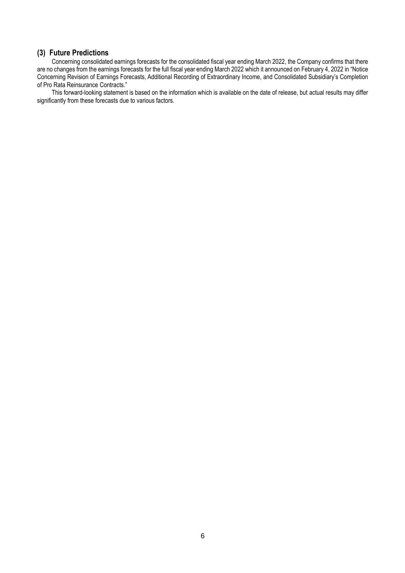## <span id="page-5-0"></span>**(3) Future Predictions**

Concerning consolidated earnings forecasts for the consolidated fiscal year ending March 2022, the Company confirms that there are no changes from the earnings forecasts for the full fiscal year ending March 2022 which it announced on February 4, 2022 in "Notice Concerning Revision of Earnings Forecasts, Additional Recording of Extraordinary Income, and Consolidated Subsidiary's Completion of Pro Rata Reinsurance Contracts."

This forward-looking statement is based on the information which is available on the date of release, but actual results may differ significantly from these forecasts due to various factors.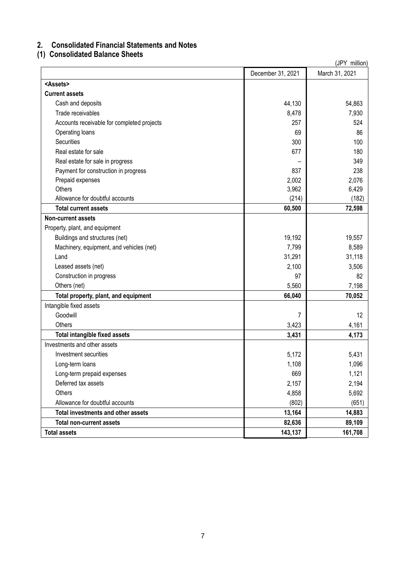## <span id="page-6-0"></span>**2. Consolidated Financial Statements and Notes**

## <span id="page-6-1"></span>**(1) Consolidated Balance Sheets**

| (JPY million)                              |                   |                |  |
|--------------------------------------------|-------------------|----------------|--|
|                                            | December 31, 2021 | March 31, 2021 |  |
| <assets></assets>                          |                   |                |  |
| <b>Current assets</b>                      |                   |                |  |
| Cash and deposits                          | 44,130            | 54,863         |  |
| Trade receivables                          | 8,478             | 7,930          |  |
| Accounts receivable for completed projects | 257               | 524            |  |
| Operating loans                            | 69                | 86             |  |
| <b>Securities</b>                          | 300               | 100            |  |
| Real estate for sale                       | 677               | 180            |  |
| Real estate for sale in progress           |                   | 349            |  |
| Payment for construction in progress       | 837               | 238            |  |
| Prepaid expenses                           | 2,002             | 2,076          |  |
| Others                                     | 3,962             | 6,429          |  |
| Allowance for doubtful accounts            | (214)             | (182)          |  |
| <b>Total current assets</b>                | 60,500            | 72,598         |  |
| <b>Non-current assets</b>                  |                   |                |  |
| Property, plant, and equipment             |                   |                |  |
| Buildings and structures (net)             | 19,192            | 19,557         |  |
| Machinery, equipment, and vehicles (net)   | 7,799             | 8,589          |  |
| Land                                       | 31,291            | 31,118         |  |
| Leased assets (net)                        | 2,100             | 3,506          |  |
| Construction in progress                   | 97                | 82             |  |
| Others (net)                               | 5,560             | 7,198          |  |
| Total property, plant, and equipment       | 66,040            | 70,052         |  |
| Intangible fixed assets                    |                   |                |  |
| Goodwill                                   | 7                 | 12             |  |
| Others                                     | 3,423             | 4,161          |  |
| Total intangible fixed assets              | 3,431             | 4,173          |  |
| Investments and other assets               |                   |                |  |
| Investment securities                      | 5,172             | 5,431          |  |
| Long-term loans                            | 1,108             | 1,096          |  |
| Long-term prepaid expenses                 | 669               | 1,121          |  |
| Deferred tax assets                        | 2,157             | 2,194          |  |
| Others                                     | 4,858             | 5,692          |  |
| Allowance for doubtful accounts            | (802)             | (651)          |  |
| Total investments and other assets         | 13,164            | 14,883         |  |
| <b>Total non-current assets</b>            | 82,636            | 89,109         |  |
| <b>Total assets</b>                        | 143,137           | 161,708        |  |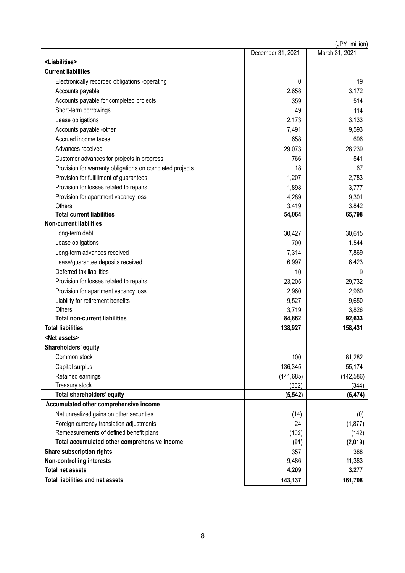| (JPY million)                                            |                   |                |  |
|----------------------------------------------------------|-------------------|----------------|--|
|                                                          | December 31, 2021 | March 31, 2021 |  |
| <liabilities></liabilities>                              |                   |                |  |
| <b>Current liabilities</b>                               |                   |                |  |
| Electronically recorded obligations -operating           | 0                 | 19             |  |
| Accounts payable                                         | 2,658             | 3,172          |  |
| Accounts payable for completed projects                  | 359               | 514            |  |
| Short-term borrowings                                    | 49                | 114            |  |
| Lease obligations                                        | 2,173             | 3,133          |  |
| Accounts payable -other                                  | 7,491             | 9,593          |  |
| Accrued income taxes                                     | 658               | 696            |  |
| Advances received                                        | 29,073            | 28,239         |  |
| Customer advances for projects in progress               | 766               | 541            |  |
| Provision for warranty obligations on completed projects | 18                | 67             |  |
| Provision for fulfillment of guarantees                  | 1,207             | 2,783          |  |
| Provision for losses related to repairs                  | 1,898             | 3,777          |  |
| Provision for apartment vacancy loss                     | 4,289             | 9,301          |  |
| Others                                                   | 3,419             | 3,842          |  |
| <b>Total current liabilities</b>                         | 54,064            | 65,798         |  |
| <b>Non-current liabilities</b>                           |                   |                |  |
| Long-term debt                                           | 30,427            | 30,615         |  |
| Lease obligations                                        | 700               | 1,544          |  |
| Long-term advances received                              | 7,314             | 7,869          |  |
| Lease/guarantee deposits received                        | 6,997             | 6,423          |  |
| Deferred tax liabilities                                 | 10                | 9              |  |
| Provision for losses related to repairs                  | 23,205            | 29,732         |  |
| Provision for apartment vacancy loss                     | 2,960             | 2,960          |  |
| Liability for retirement benefits                        | 9,527             | 9,650          |  |
| Others                                                   | 3,719             | 3,826          |  |
| <b>Total non-current liabilities</b>                     | 84,862            | 92,633         |  |
| <b>Total liabilities</b>                                 | 138,927           | 158,431        |  |
| <net assets=""></net>                                    |                   |                |  |
| Shareholders' equity                                     |                   |                |  |
| Common stock                                             | 100               | 81,282         |  |
| Capital surplus                                          | 136,345           | 55,174         |  |
| Retained earnings                                        | (141, 685)        | (142, 586)     |  |
| Treasury stock                                           | (302)             | (344)          |  |
| Total shareholders' equity                               | (5, 542)          | (6, 474)       |  |
| Accumulated other comprehensive income                   |                   |                |  |
| Net unrealized gains on other securities                 | (14)              | (0)            |  |
| Foreign currency translation adjustments                 | 24                | (1, 877)       |  |
| Remeasurements of defined benefit plans                  | (102)             | (142)          |  |
| Total accumulated other comprehensive income             | (91)              | (2,019)        |  |
| Share subscription rights                                | 357               | 388            |  |
| <b>Non-controlling interests</b>                         | 9,486             | 11,383         |  |
| <b>Total net assets</b>                                  | 4,209             | 3,277          |  |
| <b>Total liabilities and net assets</b>                  | 143,137           | 161,708        |  |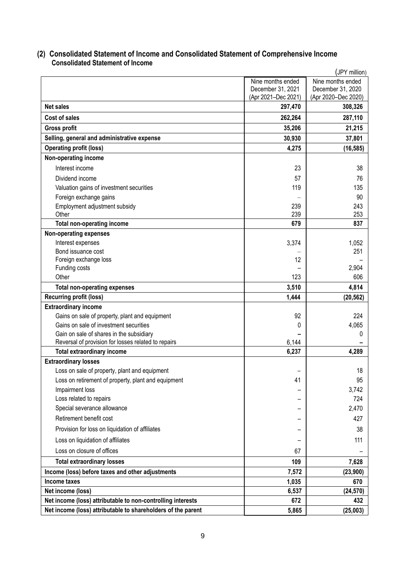## <span id="page-8-1"></span><span id="page-8-0"></span>**(2) Consolidated Statement of Income and Consolidated Statement of Comprehensive Income Consolidated Statement of Income**

|                                                              | (JPY million)       |                     |  |  |  |
|--------------------------------------------------------------|---------------------|---------------------|--|--|--|
|                                                              | Nine months ended   | Nine months ended   |  |  |  |
|                                                              | December 31, 2021   | December 31, 2020   |  |  |  |
|                                                              | (Apr 2021-Dec 2021) | (Apr 2020-Dec 2020) |  |  |  |
| <b>Net sales</b>                                             | 297,470             | 308,326             |  |  |  |
| Cost of sales                                                | 262,264             | 287,110             |  |  |  |
| <b>Gross profit</b>                                          | 35,206              | 21,215              |  |  |  |
| Selling, general and administrative expense                  | 30,930              | 37,801              |  |  |  |
| <b>Operating profit (loss)</b>                               | 4,275               | (16, 585)           |  |  |  |
| Non-operating income                                         |                     |                     |  |  |  |
| Interest income                                              | 23                  | 38                  |  |  |  |
| Dividend income                                              | 57                  | 76                  |  |  |  |
| Valuation gains of investment securities                     | 119                 | 135                 |  |  |  |
| Foreign exchange gains                                       |                     | 90                  |  |  |  |
| Employment adjustment subsidy                                | 239                 | 243                 |  |  |  |
| Other                                                        | 239                 | 253                 |  |  |  |
| Total non-operating income                                   | 679                 | 837                 |  |  |  |
| <b>Non-operating expenses</b>                                |                     |                     |  |  |  |
| Interest expenses                                            | 3,374               | 1,052               |  |  |  |
| Bond issuance cost                                           |                     | 251                 |  |  |  |
| Foreign exchange loss<br>Funding costs                       | 12                  | 2,904               |  |  |  |
| Other                                                        | 123                 | 606                 |  |  |  |
| <b>Total non-operating expenses</b>                          | 3,510               | 4,814               |  |  |  |
| <b>Recurring profit (loss)</b>                               | 1,444               | (20, 562)           |  |  |  |
| <b>Extraordinary income</b>                                  |                     |                     |  |  |  |
| Gains on sale of property, plant and equipment               | 92                  | 224                 |  |  |  |
| Gains on sale of investment securities                       | 0                   | 4,065               |  |  |  |
| Gain on sale of shares in the subsidiary                     |                     | 0                   |  |  |  |
| Reversal of provision for losses related to repairs          | 6,144               |                     |  |  |  |
| <b>Total extraordinary income</b>                            | 6,237               | 4,289               |  |  |  |
| <b>Extraordinary losses</b>                                  |                     |                     |  |  |  |
| Loss on sale of property, plant and equipment                |                     | 18                  |  |  |  |
| Loss on retirement of property, plant and equipment          | 41                  | 95                  |  |  |  |
| Impairment loss                                              |                     | 3,742               |  |  |  |
| Loss related to repairs                                      |                     | 724                 |  |  |  |
| Special severance allowance                                  |                     | 2,470               |  |  |  |
| Retirement benefit cost                                      |                     | 427                 |  |  |  |
| Provision for loss on liquidation of affiliates              |                     | 38                  |  |  |  |
| Loss on liquidation of affiliates                            |                     | 111                 |  |  |  |
| Loss on closure of offices                                   | 67                  |                     |  |  |  |
| <b>Total extraordinary losses</b>                            | 109                 | 7,628               |  |  |  |
| Income (loss) before taxes and other adjustments             | 7,572               | (23,900)            |  |  |  |
| Income taxes                                                 | 1,035               | 670                 |  |  |  |
| Net income (loss)                                            | 6,537               | (24, 570)           |  |  |  |
| Net income (loss) attributable to non-controlling interests  | 672                 | 432                 |  |  |  |
| Net income (loss) attributable to shareholders of the parent | 5,865               | (25,003)            |  |  |  |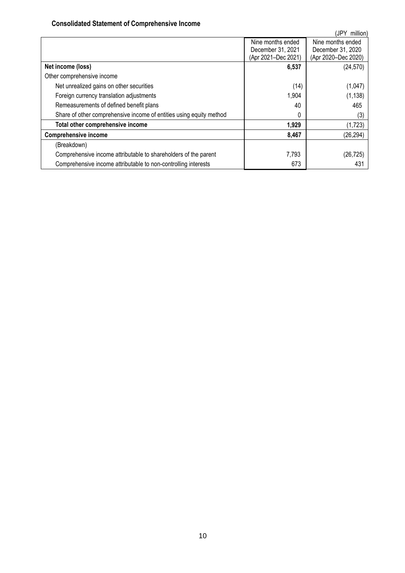## **Consolidated Statement of Comprehensive Income**

<span id="page-9-0"></span>

| (JPY<br>million)                                                    |                     |                     |  |  |  |
|---------------------------------------------------------------------|---------------------|---------------------|--|--|--|
|                                                                     | Nine months ended   | Nine months ended   |  |  |  |
|                                                                     | December 31, 2021   | December 31, 2020   |  |  |  |
|                                                                     | (Apr 2021-Dec 2021) | (Apr 2020-Dec 2020) |  |  |  |
| Net income (loss)                                                   | 6,537               | (24, 570)           |  |  |  |
| Other comprehensive income                                          |                     |                     |  |  |  |
| Net unrealized gains on other securities                            | (14)                | (1,047)             |  |  |  |
| Foreign currency translation adjustments                            | 1,904               | (1, 138)            |  |  |  |
| Remeasurements of defined benefit plans                             | 40                  | 465                 |  |  |  |
| Share of other comprehensive income of entities using equity method | $^{(1)}$            | (3)                 |  |  |  |
| Total other comprehensive income                                    | 1,929               | (1,723)             |  |  |  |
| <b>Comprehensive income</b>                                         | 8,467               | (26, 294)           |  |  |  |
| (Breakdown)                                                         |                     |                     |  |  |  |
| Comprehensive income attributable to shareholders of the parent     | 7,793               | (26, 725)           |  |  |  |
| Comprehensive income attributable to non-controlling interests      | 673                 | 431                 |  |  |  |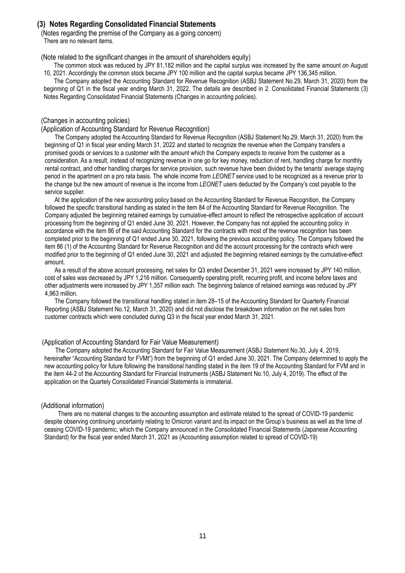## <span id="page-10-0"></span>**(3) Notes Regarding Consolidated Financial Statements**

<span id="page-10-1"></span>(Notes regarding the premise of the Company as a going concern) There are no relevant items.

<span id="page-10-2"></span>(Note related to the significant changes in the amount of shareholders equity)

The common stock was reduced by JPY 81,182 million and the capital surplus was increased by the same amount on August 10, 2021. Accordingly the common stock became JPY 100 million and the capital surplus became JPY 136,345 million.

The Company adopted the Accounting Standard for Revenue Recognition (ASBJ Statement No.29, March 31, 2020) from the beginning of Q1 in the fiscal year ending March 31, 2022. The details are described in 2. Consolidated Financial Statements (3) Notes Regarding Consolidated Financial Statements (Changes in accounting policies).

#### <span id="page-10-3"></span>(Changes in accounting policies)

(Application of Accounting Standard for Revenue Recognition)

The Company adopted the Accounting Standard for Revenue Recognition (ASBJ Statement No.29, March 31, 2020) from the beginning of Q1 in fiscal year ending March 31, 2022 and started to recognize the revenue when the Company transfers a promised goods or services to a customer with the amount which the Company expects to receive from the customer as a consideration. As a result, instead of recognizing revenue in one go for key money, reduction of rent, handling charge for monthly rental contract, and other handling charges for service provision, such revenue have been divided by the tenants' average staying period in the apartment on a pro rata basis. The whole income from *LEONET* service used to be recognized as a revenue prior to the change but the new amount of revenue is the income from *LEONET* users deducted by the Company's cost payable to the service supplier.

At the application of the new accounting policy based on the Accounting Standard for Revenue Recognition, the Company followed the specific transitional handling as stated in the item 84 of the Accounting Standard for Revenue Recognition. The Company adjusted the beginning retained earnings by cumulative-effect amount to reflect the retrospective application of account processing from the beginning of Q1 ended June 30, 2021. However, the Company has not applied the accounting policy in accordance with the item 86 of the said Accounting Standard for the contracts with most of the revenue recognition has been completed prior to the beginning of Q1 ended June 30, 2021, following the previous accounting policy. The Company followed the item 86 (1) of the Accounting Standard for Revenue Recognition and did the account processing for the contracts which were modified prior to the beginning of Q1 ended June 30, 2021 and adjusted the beginning retained earnings by the cumulative-effect amount.

As a result of the above account processing, net sales for Q3 ended December 31, 2021 were increased by JPY 140 million, cost of sales was decreased by JPY 1,216 million. Consequently operating profit, recurring profit, and income before taxes and other adjustments were increased by JPY 1,357 million each. The beginning balance of retained earnings was reduced by JPY 4,963 million.

The Company followed the transitional handling stated in item 28–15 of the Accounting Standard for Quarterly Financial Reporting (ASBJ Statement No.12, March 31, 2020) and did not disclose the breakdown information on the net sales from customer contracts which were concluded during Q3 in the fiscal year ended March 31, 2021.

#### (Application of Accounting Standard for Fair Value Measurement)

The Company adopted the Accounting Standard for Fair Value Measurement (ASBJ Statement No.30, July 4, 2019, hereinafter "Accounting Standard for FVMt") from the beginning of Q1 ended June 30, 2021. The Company determined to apply the new accounting policy for future following the transitional handling stated in the item 19 of the Accounting Standard for FVM and in the item 44-2 of the Accounting Standard for Financial Instruments (ASBJ Statement No.10, July 4, 2019). The effect of the application on the Quartely Consolidated Financial Statements is immaterial.

#### <span id="page-10-4"></span>(Additional information)

There are no material changes to the accounting assumption and estimate related to the spread of COVID-19 pandemic despite observing continuing uncertainty relating to Omicron variant and its impact on the Group's business as well as the time of ceasing COVID-19 pandemic, which the Company announced in the Consolidated Financial Statements (Japanese Accounting Standard) for the fiscal year ended March 31, 2021 as (Accounting assumption related to spread of COVID-19)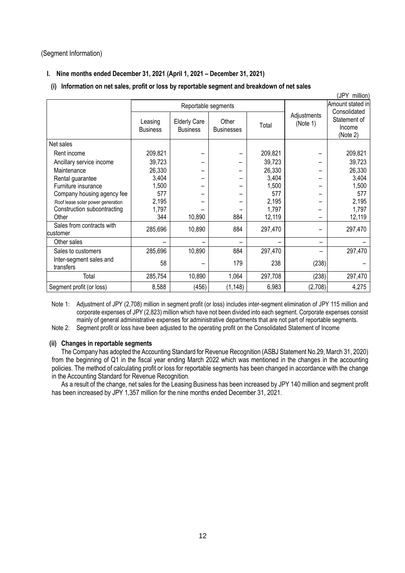### <span id="page-11-0"></span>(Segment Information)

## **I. Nine months ended December 31, 2021 (April 1, 2021 – December 31, 2021)**

## **(i) Information on net sales, profit or loss by reportable segment and breakdown of net sales**

|                                       |                            |                                        |                            |         |                         | (JPY million)                                      |
|---------------------------------------|----------------------------|----------------------------------------|----------------------------|---------|-------------------------|----------------------------------------------------|
|                                       | Reportable segments        |                                        |                            |         |                         | Amount stated in                                   |
|                                       | Leasing<br><b>Business</b> | <b>Elderly Care</b><br><b>Business</b> | Other<br><b>Businesses</b> | Total   | Adjustments<br>(Note 1) | Consolidated<br>Statement of<br>Income<br>(Note 2) |
| Net sales                             |                            |                                        |                            |         |                         |                                                    |
| Rent income                           | 209,821                    |                                        |                            | 209,821 |                         | 209,821                                            |
| Ancillary service income              | 39,723                     |                                        |                            | 39,723  |                         | 39,723                                             |
| Maintenance                           | 26,330                     |                                        |                            | 26,330  |                         | 26,330                                             |
| Rental guarantee                      | 3,404                      |                                        |                            | 3,404   |                         | 3,404                                              |
| Furniture insurance                   | 1,500                      |                                        |                            | 1,500   |                         | 1,500                                              |
| Company housing agency fee            | 577                        |                                        |                            | 577     |                         | 577                                                |
| Roof lease solar power generation     | 2,195                      |                                        |                            | 2,195   |                         | 2,195                                              |
| Construction subcontracting           | 1,797                      |                                        |                            | 1,797   |                         | 1,797                                              |
| Other                                 | 344                        | 10,890                                 | 884                        | 12,119  |                         | 12,119                                             |
| Sales from contracts with<br>customer | 285,696                    | 10,890                                 | 884                        | 297,470 |                         | 297,470                                            |
| Other sales                           |                            |                                        |                            |         |                         |                                                    |
| Sales to customers                    | 285,696                    | 10,890                                 | 884                        | 297,470 |                         | 297,470                                            |
| Inter-segment sales and<br>transfers  | 58                         |                                        | 179                        | 238     | (238)                   |                                                    |
| Total                                 | 285,754                    | 10,890                                 | 1,064                      | 297,708 | (238)                   | 297,470                                            |
| Segment profit (or loss)              | 8,588                      | (456)                                  | (1, 148)                   | 6,983   | (2,708)                 | 4,275                                              |

Note 1: Adjustment of JPY (2,708) million in segment profit (or loss) includes inter-segment elimination of JPY 115 million and corporate expenses of JPY (2,823) million which have not been divided into each segment. Corporate expenses consist mainly of general administrative expenses for administrative departments that are not part of reportable segments.

Note 2: Segment profit or loss have been adjusted to the operating profit on the Consolidated Statement of Income

### **(ii) Changes in reportable segments**

The Company has adopted the Accounting Standard for Revenue Recognition (ASBJ Statement No.29, March 31, 2020) from the beginning of Q1 in the fiscal year ending March 2022 which was mentioned in the changes in the accounting policies. The method of calculating profit or loss for reportable segments has been changed in accordance with the change in the Accounting Standard for Revenue Recognition.

As a result of the change, net sales for the Leasing Business has been increased by JPY 140 million and segment profit has been increased by JPY 1,357 million for the nine months ended December 31, 2021.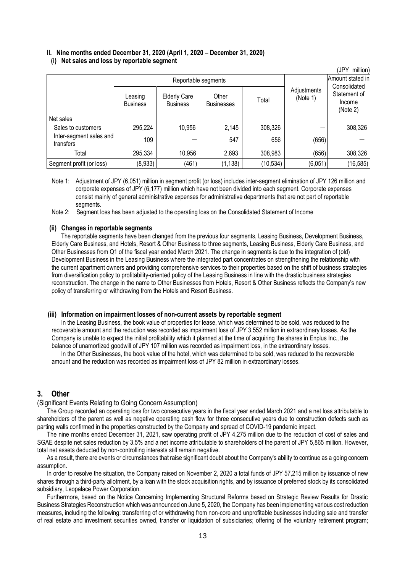## **II. Nine months ended December 31, 2020 (April 1, 2020 – December 31, 2020)**

|  | (i) Net sales and loss by reportable segment |
|--|----------------------------------------------|
|--|----------------------------------------------|

| ,JPY<br>million)                     |                            |                                        |                            |           |                         |                                                    |  |
|--------------------------------------|----------------------------|----------------------------------------|----------------------------|-----------|-------------------------|----------------------------------------------------|--|
|                                      | Reportable segments        |                                        |                            |           |                         | Amount stated in                                   |  |
|                                      | Leasing<br><b>Business</b> | <b>Elderly Care</b><br><b>Business</b> | Other<br><b>Businesses</b> | Total     | Adjustments<br>(Note 1) | Consolidated<br>Statement of<br>Income<br>(Note 2) |  |
| Net sales                            |                            |                                        |                            |           |                         |                                                    |  |
| Sales to customers                   | 295,224                    | 10,956                                 | 2,145                      | 308,326   |                         | 308,326                                            |  |
| Inter-segment sales and<br>transfers | 109                        |                                        | 547                        | 656       | (656)                   |                                                    |  |
| Total                                | 295,334                    | 10,956                                 | 2,693                      | 308,983   | (656)                   | 308,326                                            |  |
| Segment profit (or loss)             | (8,933)                    | (461)                                  | (1, 138)                   | (10, 534) | (6,051)                 | (16, 585)                                          |  |

Note 1: Adjustment of JPY (6,051) million in segment profit (or loss) includes inter-segment elimination of JPY 126 million and corporate expenses of JPY (6,177) million which have not been divided into each segment. Corporate expenses consist mainly of general administrative expenses for administrative departments that are not part of reportable segments.

Note 2: Segment loss has been adjusted to the operating loss on the Consolidated Statement of Income

#### **(ii) Changes in reportable segments**

The reportable segments have been changed from the previous four segments, Leasing Business, Development Business, Elderly Care Business, and Hotels, Resort & Other Business to three segments, Leasing Business, Elderly Care Business, and Other Businesses from Q1 of the fiscal year ended March 2021. The change in segments is due to the integration of (old) Development Business in the Leasing Business where the integrated part concentrates on strengthening the relationship with the current apartment owners and providing comprehensive services to their properties based on the shift of business strategies from diversification policy to profitability-oriented policy of the Leasing Business in line with the drastic business strategies reconstruction. The change in the name to Other Businesses from Hotels, Resort & Other Business reflects the Company's new policy of transferring or withdrawing from the Hotels and Resort Business.

#### **(iii) Information on impairment losses of non-current assets by reportable segment**

In the Leasing Business, the book value of properties for lease, which was determined to be sold, was reduced to the recoverable amount and the reduction was recorded as impairment loss of JPY 3,552 million in extraordinary losses. As the Company is unable to expect the initial profitability which it planned at the time of acquiring the shares in Enplus Inc., the balance of unamortized goodwill of JPY 107 million was recorded as impairment loss, in the extraordinary losses.

In the Other Businesses, the book value of the hotel, which was determined to be sold, was reduced to the recoverable amount and the reduction was recorded as impairment loss of JPY 82 million in extraordinary losses.

## <span id="page-12-0"></span>**3. Other**

#### <span id="page-12-1"></span>(Significant Events Relating to Going Concern Assumption)

The Group recorded an operating loss for two consecutive years in the fiscal year ended March 2021 and a net loss attributable to shareholders of the parent as well as negative operating cash flow for three consecutive years due to construction defects such as parting walls confirmed in the properties constructed by the Company and spread of COVID-19 pandemic impact.

The nine months ended December 31, 2021, saw operating profit of JPY 4,275 million due to the reduction of cost of sales and SGAE despite net sales reduction by 3.5% and a net income attributable to shareholders of the parent of JPY 5,865 million. However, total net assets deducted by non-controlling interests still remain negative.

As a result, there are events or circumstances that raise significant doubt about the Company's ability to continue as a going concern assumption.

In order to resolve the situation, the Company raised on November 2, 2020 a total funds of JPY 57,215 million by issuance of new shares through a third-party allotment, by a loan with the stock acquisition rights, and by issuance of preferred stock by its consolidated subsidiary, Leopalace Power Corporation.

Furthermore, based on the Notice Concerning Implementing Structural Reforms based on Strategic Review Results for Drastic Business Strategies Reconstruction which was announced on June 5, 2020, the Company has been implementing various cost reduction measures, including the following: transferring of or withdrawing from non-core and unprofitable businesses including sale and transfer of real estate and investment securities owned, transfer or liquidation of subsidiaries; offering of the voluntary retirement program;